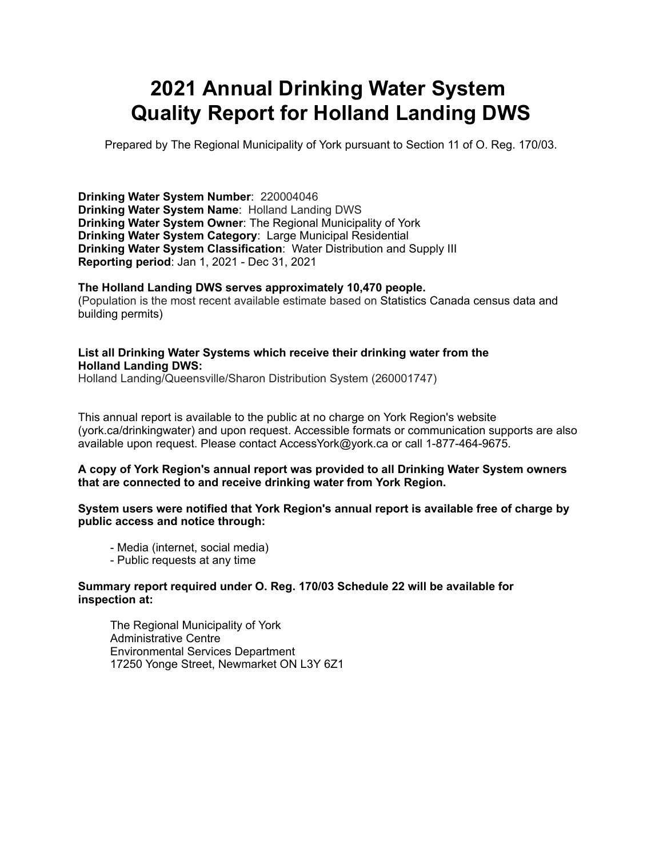# **2021 Annual Drinking Water System Quality Report for Holland Landing DWS**

Prepared by The Regional Municipality of York pursuant to Section 11 of O. Reg. 170/03.

 **Drinking Water System Number**: 220004046  **Drinking Water System Name**: Holland Landing DWS  **Drinking Water System Owner**: The Regional Municipality of York  **Drinking Water System Category**: Large Municipal Residential  **Drinking Water System Classification**: Water Distribution and Supply III **Reporting period**: Jan 1, 2021 - Dec 31, 2021

**The Holland Landing DWS serves approximately 10,470 people.** (Population is the most recent available estimate based on Statistics Canada census data and building permits)

#### **List all Drinking Water Systems which receive their drinking water from the Holland Landing DWS:**

Holland Landing/Queensville/Sharon Distribution System (260001747)

 This annual report is available to the public at no charge on York Region's website (york.ca/drinkingwater) and upon request. Accessible formats or communication supports are also available upon request. Please contact [AccessYork@york.ca](mailto:AccessYork@york.ca) or call 1-877-464-9675.

#### **A copy of York Region's annual report was provided to all Drinking Water System owners that are connected to and receive drinking water from York Region.**

 **System users were notified that York Region's annual report is available free of charge by public access and notice through:**

- Media (internet, social media)
- Public requests at any time

#### **Summary report required under O. Reg. 170/03 Schedule 22 will be available for inspection at:**

The Regional Municipality of York Administrative Centre Environmental Services Department 17250 Yonge Street, Newmarket ON L3Y 6Z1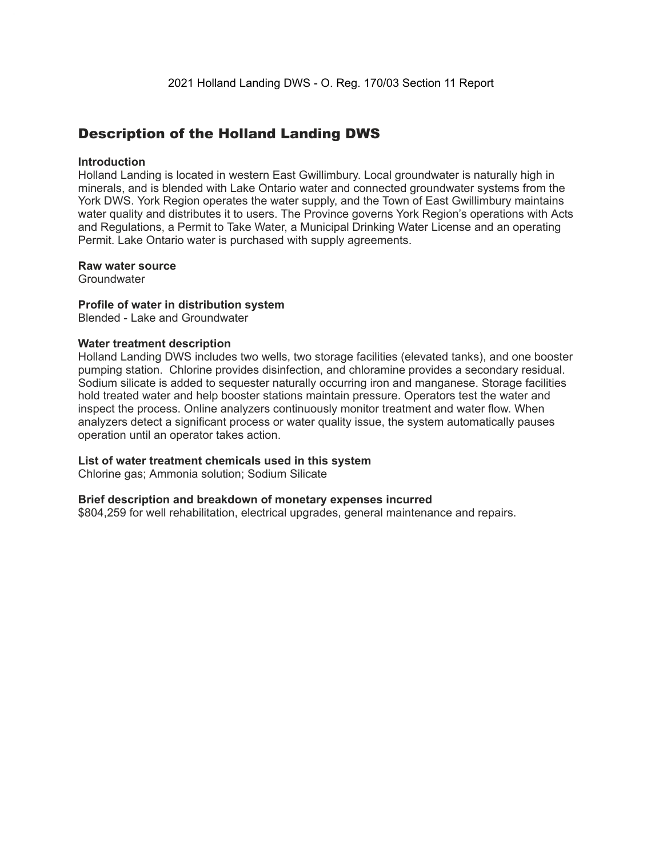### Description of the Holland Landing DWS

#### **Introduction**

 Holland Landing is located in western East Gwillimbury. Local groundwater is naturally high in minerals, and is blended with Lake Ontario water and connected groundwater systems from the York DWS. York Region operates the water supply, and the Town of East Gwillimbury maintains water quality and distributes it to users. The Province governs York Region's operations with Acts and Regulations, a Permit to Take Water, a Municipal Drinking Water License and an operating Permit. Lake Ontario water is purchased with supply agreements.

#### **Raw water source**

**Groundwater** 

#### **Profile of water in distribution system**

Blended - Lake and Groundwater

#### **Water treatment description**

 Holland Landing DWS includes two wells, two storage facilities (elevated tanks), and one booster pumping station. Chlorine provides disinfection, and chloramine provides a secondary residual. Sodium silicate is added to sequester naturally occurring iron and manganese. Storage facilities hold treated water and help booster stations maintain pressure. Operators test the water and inspect the process. Online analyzers continuously monitor treatment and water flow. When analyzers detect a significant process or water quality issue, the system automatically pauses operation until an operator takes action.

#### **List of water treatment chemicals used in this system**

Chlorine gas; Ammonia solution; Sodium Silicate

#### **Brief description and breakdown of monetary expenses incurred**

\$804,259 for well rehabilitation, electrical upgrades, general maintenance and repairs.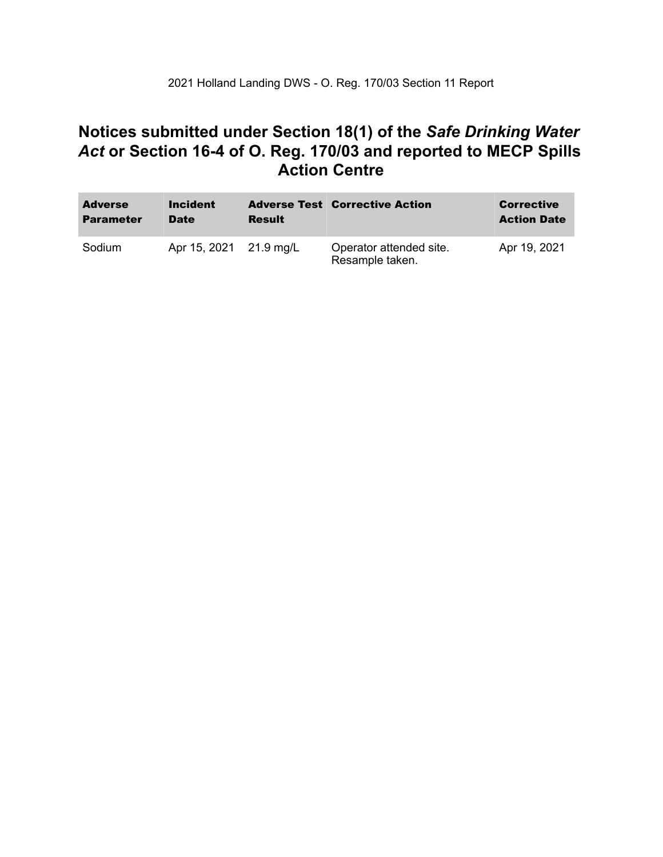### **Notices submitted under Section 18(1) of the** *Safe Drinking Water*  *Act* **or Section 16-4 of O. Reg. 170/03 and reported to MECP Spills Action Centre**

| <b>Adverse</b><br><b>Parameter</b> | <b>Incident</b><br><b>Date</b> | <b>Result</b> | <b>Adverse Test Corrective Action</b>      | <b>Corrective</b><br><b>Action Date</b> |
|------------------------------------|--------------------------------|---------------|--------------------------------------------|-----------------------------------------|
| Sodium                             | Apr 15, 2021 21.9 mg/L         |               | Operator attended site.<br>Resample taken. | Apr 19, 2021                            |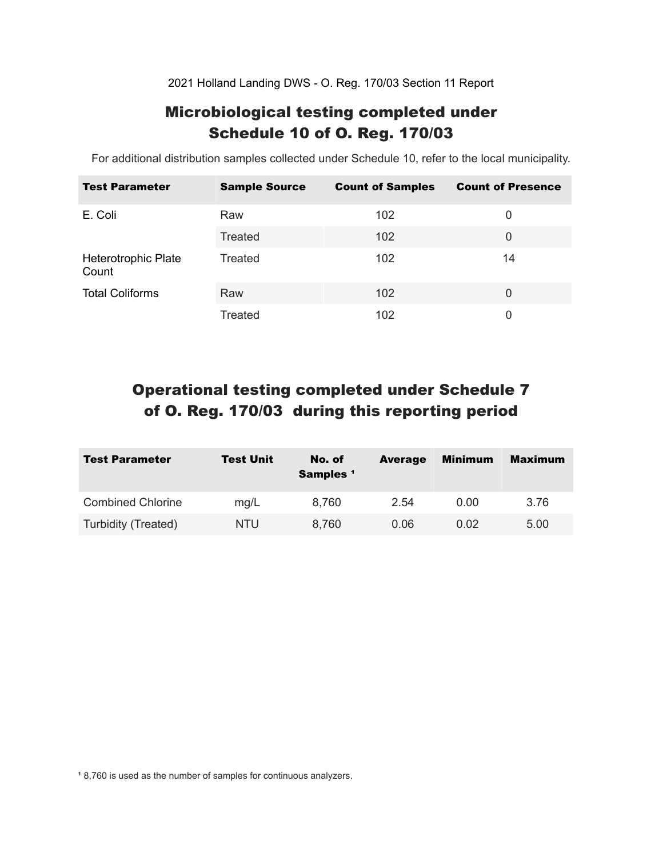2021 Holland Landing DWS - O. Reg. 170/03 Section 11 Report

### Microbiological testing completed under Schedule 10 of O. Reg. 170/03

For additional distribution samples collected under Schedule 10, refer to the local municipality.

| <b>Test Parameter</b>        | <b>Sample Source</b> | <b>Count of Samples</b> | <b>Count of Presence</b> |
|------------------------------|----------------------|-------------------------|--------------------------|
| E. Coli                      | Raw                  | 102                     | 0                        |
|                              | Treated              | 102                     | 0                        |
| Heterotrophic Plate<br>Count | Treated              | 102                     | 14                       |
| <b>Total Coliforms</b>       | Raw                  | 102                     | $\Omega$                 |
|                              | Treated              | 102                     | 0                        |

## Operational testing completed under Schedule 7 of O. Reg. 170/03 during this reporting period

| <b>Test Parameter</b>    | <b>Test Unit</b> | No. of<br>Samples <sup>1</sup> | <b>Average</b> | <b>Minimum</b> | <b>Maximum</b> |
|--------------------------|------------------|--------------------------------|----------------|----------------|----------------|
| <b>Combined Chlorine</b> | mg/L             | 8.760                          | 2.54           | 0.00           | 3.76           |
| Turbidity (Treated)      | NTU              | 8,760                          | 0.06           | 0.02           | 5.00           |

<sup>1</sup> 8,760 is used as the number of samples for continuous analyzers.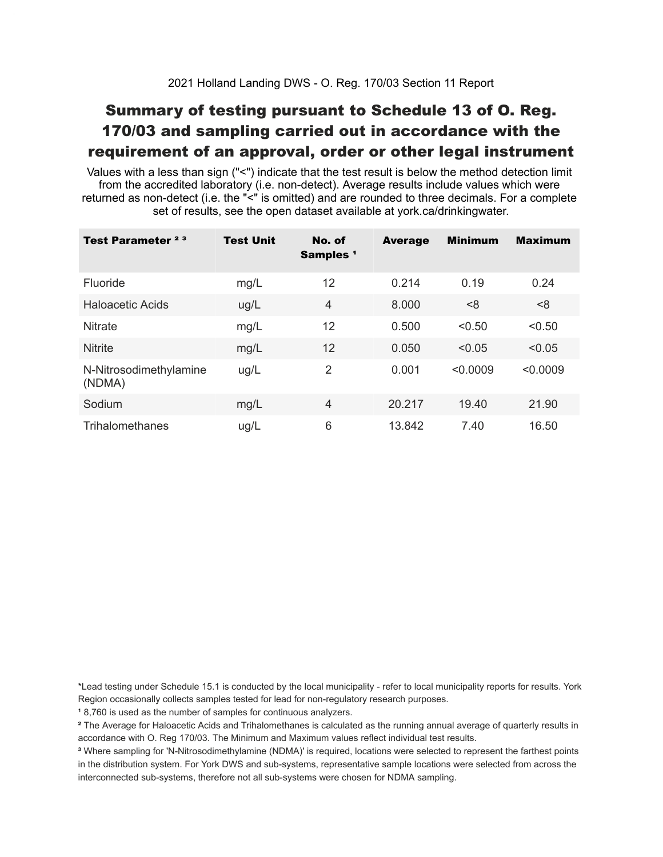## Summary of testing pursuant to Schedule 13 of O. Reg. 170/03 and sampling carried out in accordance with the requirement of an approval, order or other legal instrument

 Values with a less than sign ("<") indicate that the test result is below the method detection limit from the accredited laboratory (i.e. non-detect). Average results include values which were returned as non-detect (i.e. the "<" is omitted) and are rounded to three decimals. For a complete set of results, see the open dataset available at york.ca/drinkingwater.

| Test Parameter <sup>23</sup>     | <b>Test Unit</b> | No. of<br>Samples <sup>1</sup> | <b>Average</b> | <b>Minimum</b> | <b>Maximum</b> |
|----------------------------------|------------------|--------------------------------|----------------|----------------|----------------|
| Fluoride                         | mg/L             | 12                             | 0.214          | 0.19           | 0.24           |
| Haloacetic Acids                 | ug/L             | 4                              | 8.000          | < 8            | <8             |
| <b>Nitrate</b>                   | mg/L             | 12                             | 0.500          | < 0.50         | < 0.50         |
| <b>Nitrite</b>                   | mg/L             | 12                             | 0.050          | < 0.05         | < 0.05         |
| N-Nitrosodimethylamine<br>(NDMA) | ug/L             | $\overline{2}$                 | 0.001          | < 0.0009       | < 0.0009       |
| Sodium                           | mg/L             | 4                              | 20.217         | 19.40          | 21.90          |
| Trihalomethanes                  | ug/L             | 6                              | 13.842         | 7.40           | 16.50          |

 \*Lead testing under Schedule 15.1 is conducted by the local municipality - refer to local municipality reports for results. York Region occasionally collects samples tested for lead for non-regulatory research purposes.

<sup>1</sup>8,760 is used as the number of samples for continuous analyzers.

 $\mathrm{^2}$  The Average for Haloacetic Acids and Trihalomethanes is calculated as the running annual average of quarterly results in accordance with O. Reg 170/03. The Minimum and Maximum values reflect individual test results.

<sup>3</sup> Where sampling for 'N-Nitrosodimethylamine (NDMA)' is required, locations were selected to represent the farthest points in the distribution system. For York DWS and sub-systems, representative sample locations were selected from across the interconnected sub-systems, therefore not all sub-systems were chosen for NDMA sampling.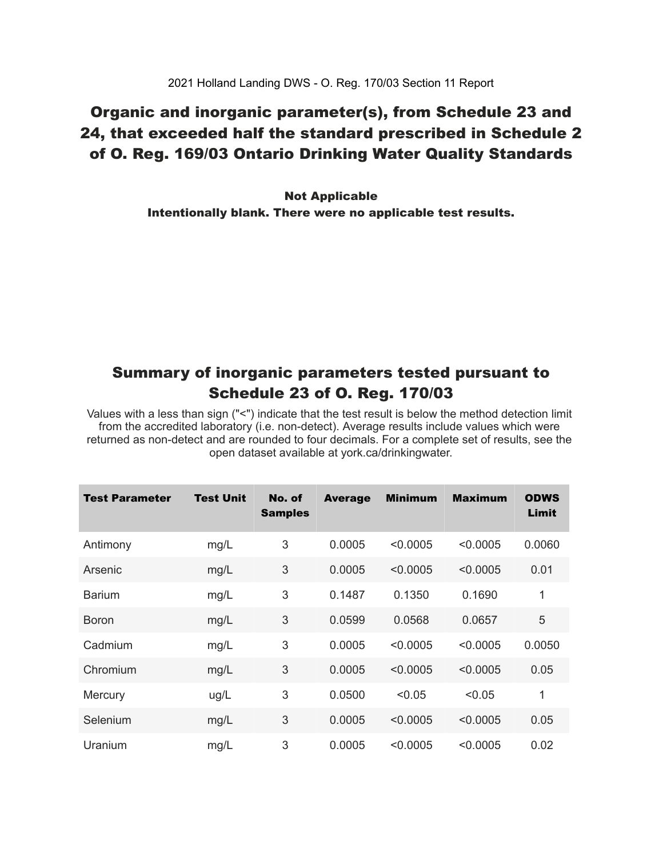### Organic and inorganic parameter(s), from Schedule 23 and 24, that exceeded half the standard prescribed in Schedule 2 of O. Reg. 169/03 Ontario Drinking Water Quality Standards

 Intentionally blank. There were no applicable test results. Not Applicable

### Summary of inorganic parameters tested pursuant to Schedule 23 of O. Reg. 170/03

 Values with a less than sign ("<") indicate that the test result is below the method detection limit from the accredited laboratory (i.e. non-detect). Average results include values which were returned as non-detect and are rounded to four decimals. For a complete set of results, see the open dataset available at york.ca/drinkingwater.

| Test Parameter | <b>Test Unit</b> | No. of<br><b>Samples</b> | <b>Average</b> | <b>Minimum</b> | <b>Maximum</b> | <b>ODWS</b><br>Limit |
|----------------|------------------|--------------------------|----------------|----------------|----------------|----------------------|
| Antimony       | mg/L             | 3                        | 0.0005         | < 0.0005       | < 0.0005       | 0.0060               |
| Arsenic        | mg/L             | 3                        | 0.0005         | < 0.0005       | < 0.0005       | 0.01                 |
| <b>Barium</b>  | mg/L             | 3                        | 0.1487         | 0.1350         | 0.1690         | 1                    |
| <b>Boron</b>   | mg/L             | 3                        | 0.0599         | 0.0568         | 0.0657         | 5                    |
| Cadmium        | mg/L             | 3                        | 0.0005         | < 0.0005       | < 0.0005       | 0.0050               |
| Chromium       | mg/L             | 3                        | 0.0005         | < 0.0005       | < 0.0005       | 0.05                 |
| Mercury        | ug/L             | 3                        | 0.0500         | < 0.05         | < 0.05         | 1                    |
| Selenium       | mg/L             | 3                        | 0.0005         | < 0.0005       | < 0.0005       | 0.05                 |
| Uranium        | mg/L             | 3                        | 0.0005         | < 0.0005       | < 0.0005       | 0.02                 |